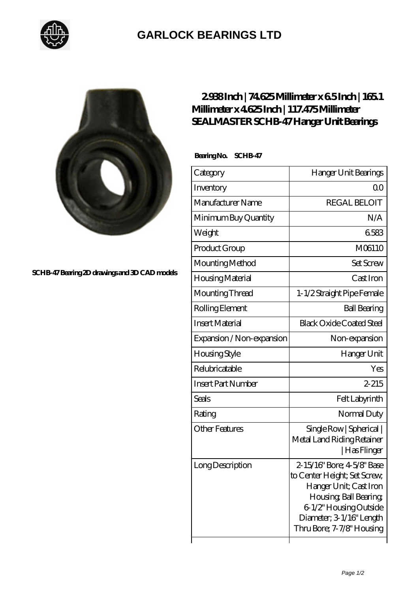

## **[GARLOCK BEARINGS LTD](https://m.letterstopriests.com)**



**[SCHB-47 Bearing 2D drawings and 3D CAD models](https://m.letterstopriests.com/pic-189014.html)**

## **[2.938 Inch | 74.625 Millimeter x 6.5 Inch | 165.1](https://m.letterstopriests.com/bd-189014-sealmaster-schb-47-hanger-unit-bearings.html) [Millimeter x 4.625 Inch | 117.475 Millimeter](https://m.letterstopriests.com/bd-189014-sealmaster-schb-47-hanger-unit-bearings.html) [SEALMASTER SCHB-47 Hanger Unit Bearings](https://m.letterstopriests.com/bd-189014-sealmaster-schb-47-hanger-unit-bearings.html)**

 **Bearing No. SCHB-47**

| Category                  | Hanger Unit Bearings                                                                                                                                                                              |
|---------------------------|---------------------------------------------------------------------------------------------------------------------------------------------------------------------------------------------------|
| Inventory                 | QΟ                                                                                                                                                                                                |
| Manufacturer Name         | <b>REGAL BELOIT</b>                                                                                                                                                                               |
| Minimum Buy Quantity      | N/A                                                                                                                                                                                               |
| Weight                    | 6583                                                                                                                                                                                              |
| Product Group             | M06110                                                                                                                                                                                            |
| Mounting Method           | <b>Set Screw</b>                                                                                                                                                                                  |
| Housing Material          | Cast Iron                                                                                                                                                                                         |
| Mounting Thread           | 1-1/2 Straight Pipe Female                                                                                                                                                                        |
| Rolling Element           | <b>Ball Bearing</b>                                                                                                                                                                               |
| <b>Insert Material</b>    | <b>Black Oxide Coated Steel</b>                                                                                                                                                                   |
| Expansion / Non-expansion | Non-expansion                                                                                                                                                                                     |
| Housing Style             | Hanger Unit                                                                                                                                                                                       |
| Relubricatable            | Yes                                                                                                                                                                                               |
| <b>Insert Part Number</b> | $2 - 215$                                                                                                                                                                                         |
| <b>Seals</b>              | Felt Labyrinth                                                                                                                                                                                    |
| Rating                    | Normal Duty                                                                                                                                                                                       |
| <b>Other Features</b>     | Single Row   Spherical  <br>Metal Land Riding Retainer<br>  Has Flinger                                                                                                                           |
| Long Description          | 2-15/16" Bore; 4-5/8" Base<br>to Center Height; Set Screw,<br>Hanger Unit; Cast Iron<br>Housing, Ball Bearing,<br>6-1/2" Housing Outside<br>Diameter; 3 1/16" Length<br>Thru Bore; 7-7/8" Housing |